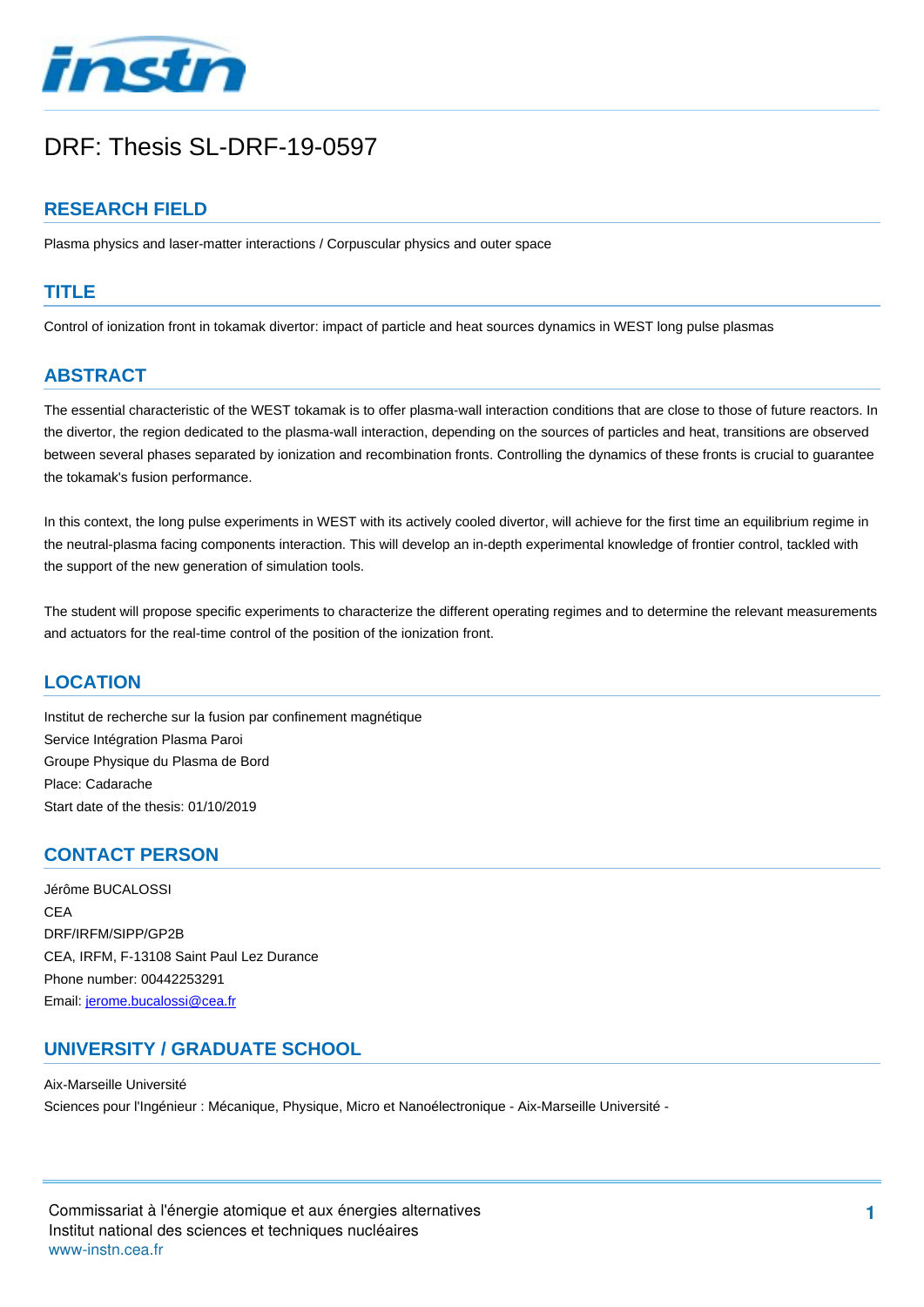

# DRF: Thesis SL-DRF-19-0597

## **RESEARCH FIELD**

Plasma physics and laser-matter interactions / Corpuscular physics and outer space

#### **TITLE**

Control of ionization front in tokamak divertor: impact of particle and heat sources dynamics in WEST long pulse plasmas

## **ABSTRACT**

The essential characteristic of the WEST tokamak is to offer plasma-wall interaction conditions that are close to those of future reactors. In the divertor, the region dedicated to the plasma-wall interaction, depending on the sources of particles and heat, transitions are observed between several phases separated by ionization and recombination fronts. Controlling the dynamics of these fronts is crucial to guarantee the tokamak's fusion performance.

In this context, the long pulse experiments in WEST with its actively cooled divertor, will achieve for the first time an equilibrium regime in the neutral-plasma facing components interaction. This will develop an in-depth experimental knowledge of frontier control, tackled with the support of the new generation of simulation tools.

The student will propose specific experiments to characterize the different operating regimes and to determine the relevant measurements and actuators for the real-time control of the position of the ionization front.

#### **LOCATION**

Institut de recherche sur la fusion par confinement magnétique Service Intégration Plasma Paroi Groupe Physique du Plasma de Bord Place: Cadarache Start date of the thesis: 01/10/2019

#### **CONTACT PERSON**

Jérôme BUCALOSSI CEA DRF/IRFM/SIPP/GP2B CEA, IRFM, F-13108 Saint Paul Lez Durance Phone number: 00442253291 Email: [jerome.bucalossi@cea.fr](mailto:jerome.bucalossi@cea.fr?subject=DRF: Thesis SL-DRF-19-0597&body=Control of ionization front in tokamak divertor: impact of particle and heat sources dynamics in WEST long pulse plasmas)

### **UNIVERSITY / GRADUATE SCHOOL**

Aix-Marseille Université Sciences pour l'Ingénieur : Mécanique, Physique, Micro et Nanoélectronique - Aix-Marseille Université -